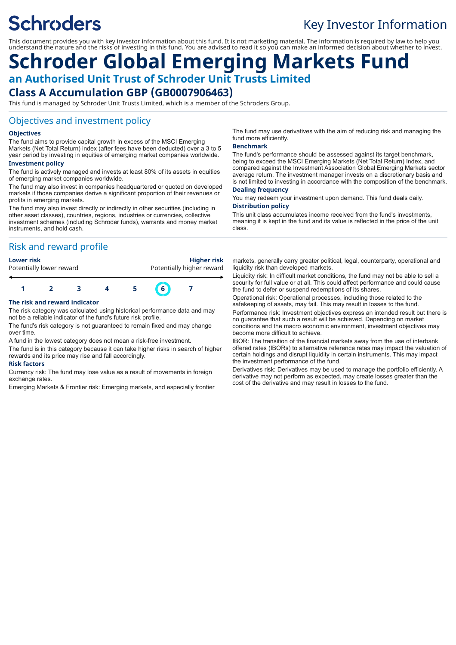# **Schroders**

## Key Investor Information

This document provides you with key investor information about this fund. It is not marketing material. The information is required by law to help you understand the nature and the risks of investing in this fund. You are advised to read it so you can make an informed decision about whether to invest.

## **Schroder Global Emerging Markets Fund an Authorised Unit Trust of Schroder Unit Trusts Limited Class A Accumulation GBP (GB0007906463)**

This fund is managed by Schroder Unit Trusts Limited, which is a member of the Schroders Group.

## Objectives and investment policy

#### **Objectives**

The fund aims to provide capital growth in excess of the MSCI Emerging Markets (Net Total Return) index (after fees have been deducted) over a 3 to 5 year period by investing in equities of emerging market companies worldwide.

#### **Investment policy**

The fund is actively managed and invests at least 80% of its assets in equities of emerging market companies worldwide.

The fund may also invest in companies headquartered or quoted on developed markets if those companies derive a significant proportion of their revenues or profits in emerging markets.

The fund may also invest directly or indirectly in other securities (including in other asset classes), countries, regions, industries or currencies, collective investment schemes (including Schroder funds), warrants and money market instruments, and hold cash.

## Risk and reward profile

**Lower risk Higher risk** Potentially lower reward **Potentially higher reward** 



#### **The risk and reward indicator**

The risk category was calculated using historical performance data and may not be a reliable indicator of the fund's future risk profile.

The fund's risk category is not guaranteed to remain fixed and may change over time.

A fund in the lowest category does not mean a risk-free investment.

The fund is in this category because it can take higher risks in search of higher rewards and its price may rise and fall accordingly.

#### **Risk factors**

Currency risk: The fund may lose value as a result of movements in foreign exchange rates.

Emerging Markets & Frontier risk: Emerging markets, and especially frontier

The fund may use derivatives with the aim of reducing risk and managing the fund more efficiently.

#### **Benchmark**

The fund's performance should be assessed against its target benchmark, being to exceed the MSCI Emerging Markets (Net Total Return) Index, and compared against the Investment Association Global Emerging Markets sector average return. The investment manager invests on a discretionary basis and is not limited to investing in accordance with the composition of the benchmark.

### **Dealing frequency**

You may redeem your investment upon demand. This fund deals daily.

### **Distribution policy**

This unit class accumulates income received from the fund's investments, meaning it is kept in the fund and its value is reflected in the price of the unit class.

markets, generally carry greater political, legal, counterparty, operational and liquidity risk than developed markets.

Liquidity risk: In difficult market conditions, the fund may not be able to sell a security for full value or at all. This could affect performance and could cause the fund to defer or suspend redemptions of its shares.

Operational risk: Operational processes, including those related to the safekeeping of assets, may fail. This may result in losses to the fund.

Performance risk: Investment objectives express an intended result but there is no guarantee that such a result will be achieved. Depending on market conditions and the macro economic environment, investment objectives may become more difficult to achieve.

IBOR: The transition of the financial markets away from the use of interbank offered rates (IBORs) to alternative reference rates may impact the valuation of certain holdings and disrupt liquidity in certain instruments. This may impact the investment performance of the fund.

Derivatives risk: Derivatives may be used to manage the portfolio efficiently. A derivative may not perform as expected, may create losses greater than the cost of the derivative and may result in losses to the fund.